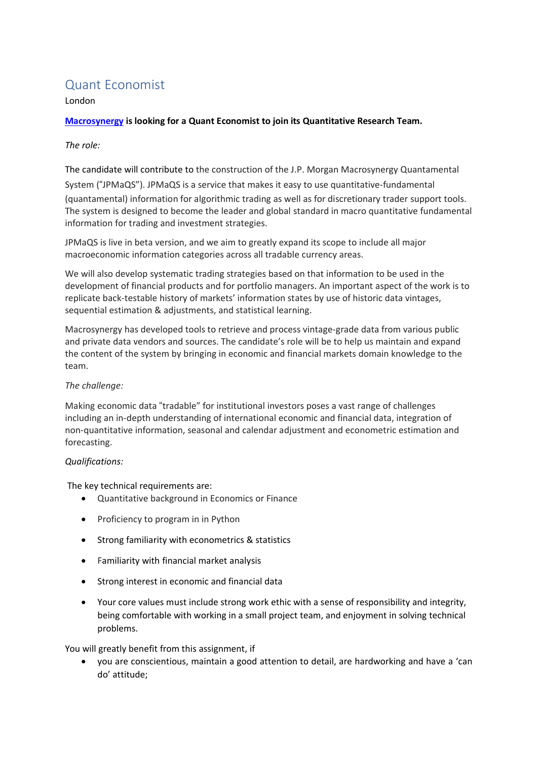# Quant Economist

## London

# **[Macrosynergy](https://www.macrosynergy.com/) is looking for a Quant Economist to join its Quantitative Research Team.**

## *The role:*

The candidate will contribute to the construction of the J.P. Morgan Macrosynergy Quantamental System ("JPMaQS"). JPMaQS is a service that makes it easy to use quantitative-fundamental (quantamental) information for algorithmic trading as well as for discretionary trader support tools. The system is designed to become the leader and global standard in macro quantitative fundamental information for trading and investment strategies.

JPMaQS is live in beta version, and we aim to greatly expand its scope to include all major macroeconomic information categories across all tradable currency areas.

We will also develop systematic trading strategies based on that information to be used in the development of financial products and for portfolio managers. An important aspect of the work is to replicate back-testable history of markets' information states by use of historic data vintages, sequential estimation & adjustments, and statistical learning.

Macrosynergy has developed tools to retrieve and process vintage-grade data from various public and private data vendors and sources. The candidate's role will be to help us maintain and expand the content of the system by bringing in economic and financial markets domain knowledge to the team.

### *The challenge:*

Making economic data "tradable" for institutional investors poses a vast range of challenges including an in-depth understanding of international economic and financial data, integration of non-quantitative information, seasonal and calendar adjustment and econometric estimation and forecasting.

### *Qualifications:*

The key technical requirements are:

- Quantitative background in Economics or Finance
- Proficiency to program in in Python
- Strong familiarity with econometrics & statistics
- Familiarity with financial market analysis
- Strong interest in economic and financial data
- Your core values must include strong work ethic with a sense of responsibility and integrity, being comfortable with working in a small project team, and enjoyment in solving technical problems.

You will greatly benefit from this assignment, if

• you are conscientious, maintain a good attention to detail, are hardworking and have a 'can do' attitude;